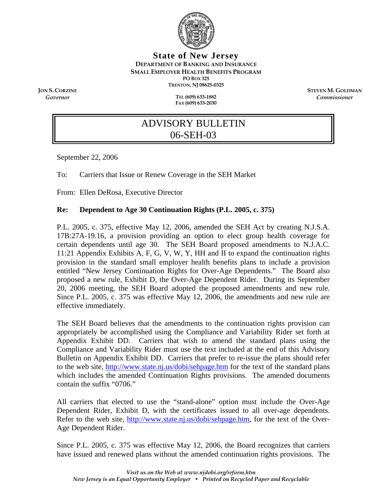

**State of New Jersey DEPARTMENT OF BANKING AND INSURANCE SMALL EMPLOYER HEALTH BENEFITS PROGRAM PO BOX 325 TRENTON, NJ 08625-0325** 

*Governor* **TEL (609) 633-1882 FAX (609) 633-2030** 

**JON S. CORZINE**<br> **STEVEN M. GOLDMAN**<br> **STEVEN M. GOLDMAN**<br> **STEVEN M. GOLDMAN** *Commissioner* 

# ADVISORY BULLETIN 06-SEH-03

September 22, 2006

To: Carriers that Issue or Renew Coverage in the SEH Market

From: Ellen DeRosa, Executive Director

#### **Re: Dependent to Age 30 Continuation Rights (P.L. 2005, c. 375)**

P.L. 2005, c. 375, effective May 12, 2006, amended the SEH Act by creating N.J.S.A. 17B:27A-19.16, a provision providing an option to elect group health coverage for certain dependents until age 30. The SEH Board proposed amendments to N.J.A.C. 11:21 Appendix Exhibits A, F, G, V, W, Y, HH and II to expand the continuation rights provision in the standard small employer health benefits plans to include a provision entitled "New Jersey Continuation Rights for Over-Age Dependents." The Board also proposed a new rule, Exhibit D, the Over-Age Dependent Rider. During its September 20, 2006 meeting, the SEH Board adopted the proposed amendments and new rule. Since P.L. 2005, c. 375 was effective May 12, 2006, the amendments and new rule are effective immediately.

The SEH Board believes that the amendments to the continuation rights provision can appropriately be accomplished using the Compliance and Variability Rider set forth at Appendix Exhibit DD. Carriers that wish to amend the standard plans using the Compliance and Variability Rider must use the text included at the end of this Advisory Bulletin on Appendix Exhibit DD. Carriers that prefer to re-issue the plans should refer to the web site, <http://www.state.nj.us/dobi/sehpage.htm> for the text of the standard plans which includes the amended Continuation Rights provisions. The amended documents contain the suffix "0706."

All carriers that elected to use the "stand-alone" option must include the Over-Age Dependent Rider, Exhibit D, with the certificates issued to all over-age dependents. Refer to the web site, [http://www.state.nj.us/dobi/sehpage.htm,](http://www.state.nj.us/dobi/sehpage.htm) for the text of the Over-Age Dependent Rider.

Since P.L. 2005, c. 375 was effective May 12, 2006, the Board recognizes that carriers have issued and renewed plans without the amended continuation rights provisions. The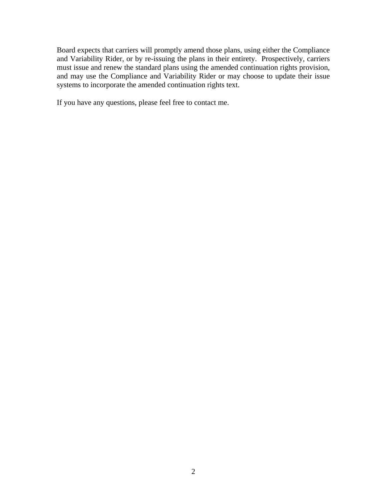Board expects that carriers will promptly amend those plans, using either the Compliance and Variability Rider, or by re-issuing the plans in their entirety. Prospectively, carriers must issue and renew the standard plans using the amended continuation rights provision, and may use the Compliance and Variability Rider or may choose to update their issue systems to incorporate the amended continuation rights text.

If you have any questions, please feel free to contact me.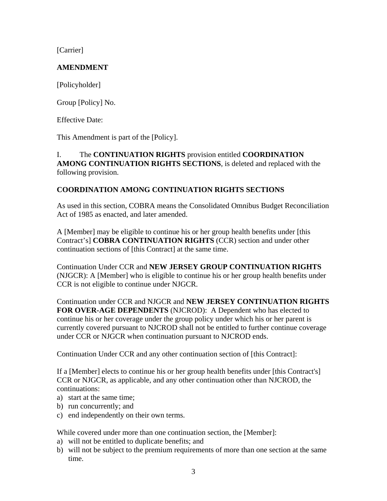[Carrier]

# **AMENDMENT**

[Policyholder]

Group [Policy] No.

Effective Date:

This Amendment is part of the [Policy].

## I. The **CONTINUATION RIGHTS** provision entitled **COORDINATION AMONG CONTINUATION RIGHTS SECTIONS**, is deleted and replaced with the following provision.

# **COORDINATION AMONG CONTINUATION RIGHTS SECTIONS**

As used in this section, COBRA means the Consolidated Omnibus Budget Reconciliation Act of 1985 as enacted, and later amended.

A [Member] may be eligible to continue his or her group health benefits under [this Contract's] **COBRA CONTINUATION RIGHTS** (CCR) section and under other continuation sections of [this Contract] at the same time.

Continuation Under CCR and **NEW JERSEY GROUP CONTINUATION RIGHTS**  (NJGCR): A [Member] who is eligible to continue his or her group health benefits under CCR is not eligible to continue under NJGCR.

Continuation under CCR and NJGCR and **NEW JERSEY CONTINUATION RIGHTS FOR OVER-AGE DEPENDENTS** (NJCROD): A Dependent who has elected to continue his or her coverage under the group policy under which his or her parent is currently covered pursuant to NJCROD shall not be entitled to further continue coverage under CCR or NJGCR when continuation pursuant to NJCROD ends.

Continuation Under CCR and any other continuation section of [this Contract]:

If a [Member] elects to continue his or her group health benefits under [this Contract's] CCR or NJGCR, as applicable, and any other continuation other than NJCROD, the continuations:

- a) start at the same time;
- b) run concurrently; and
- c) end independently on their own terms.

While covered under more than one continuation section, the [Member]:

- a) will not be entitled to duplicate benefits; and
- b) will not be subject to the premium requirements of more than one section at the same time.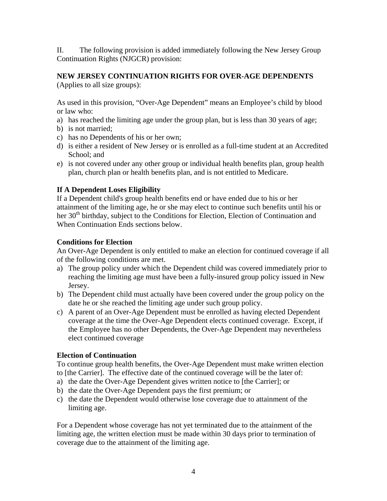II. The following provision is added immediately following the New Jersey Group Continuation Rights (NJGCR) provision:

#### **NEW JERSEY CONTINUATION RIGHTS FOR OVER-AGE DEPENDENTS** (Applies to all size groups):

As used in this provision, "Over-Age Dependent" means an Employee's child by blood or law who:

- a) has reached the limiting age under the group plan, but is less than 30 years of age;
- b) is not married;
- c) has no Dependents of his or her own;
- d) is either a resident of New Jersey or is enrolled as a full-time student at an Accredited School; and
- e) is not covered under any other group or individual health benefits plan, group health plan, church plan or health benefits plan, and is not entitled to Medicare.

#### **If A Dependent Loses Eligibility**

If a Dependent child's group health benefits end or have ended due to his or her attainment of the limiting age, he or she may elect to continue such benefits until his or her 30<sup>th</sup> birthday, subject to the Conditions for Election, Election of Continuation and When Continuation Ends sections below.

#### **Conditions for Election**

An Over-Age Dependent is only entitled to make an election for continued coverage if all of the following conditions are met.

- a) The group policy under which the Dependent child was covered immediately prior to reaching the limiting age must have been a fully-insured group policy issued in New Jersey.
- b) The Dependent child must actually have been covered under the group policy on the date he or she reached the limiting age under such group policy.
- c) A parent of an Over-Age Dependent must be enrolled as having elected Dependent coverage at the time the Over-Age Dependent elects continued coverage. Except, if the Employee has no other Dependents, the Over-Age Dependent may nevertheless elect continued coverage

## **Election of Continuation**

To continue group health benefits, the Over-Age Dependent must make written election to [the Carrier]. The effective date of the continued coverage will be the later of:

- a) the date the Over-Age Dependent gives written notice to [the Carrier]; or
- b) the date the Over-Age Dependent pays the first premium; or
- c) the date the Dependent would otherwise lose coverage due to attainment of the limiting age.

For a Dependent whose coverage has not yet terminated due to the attainment of the limiting age, the written election must be made within 30 days prior to termination of coverage due to the attainment of the limiting age.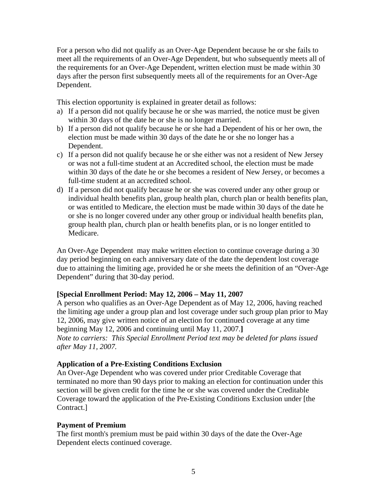For a person who did not qualify as an Over-Age Dependent because he or she fails to meet all the requirements of an Over-Age Dependent, but who subsequently meets all of the requirements for an Over-Age Dependent, written election must be made within 30 days after the person first subsequently meets all of the requirements for an Over-Age Dependent.

This election opportunity is explained in greater detail as follows:

- a) If a person did not qualify because he or she was married, the notice must be given within 30 days of the date he or she is no longer married.
- b) If a person did not qualify because he or she had a Dependent of his or her own, the election must be made within 30 days of the date he or she no longer has a Dependent.
- c) If a person did not qualify because he or she either was not a resident of New Jersey or was not a full-time student at an Accredited school, the election must be made within 30 days of the date he or she becomes a resident of New Jersey, or becomes a full-time student at an accredited school.
- d) If a person did not qualify because he or she was covered under any other group or individual health benefits plan, group health plan, church plan or health benefits plan, or was entitled to Medicare, the election must be made within 30 days of the date he or she is no longer covered under any other group or individual health benefits plan, group health plan, church plan or health benefits plan, or is no longer entitled to Medicare.

An Over-Age Dependent may make written election to continue coverage during a 30 day period beginning on each anniversary date of the date the dependent lost coverage due to attaining the limiting age, provided he or she meets the definition of an "Over-Age Dependent" during that 30-day period.

## **[Special Enrollment Period: May 12, 2006 – May 11, 2007**

A person who qualifies as an Over-Age Dependent as of May 12, 2006, having reached the limiting age under a group plan and lost coverage under such group plan prior to May 12, 2006, may give written notice of an election for continued coverage at any time beginning May 12, 2006 and continuing until May 11, 2007.**]**  *Note to carriers: This Special Enrollment Period text may be deleted for plans issued after May 11, 2007.* 

## **Application of a Pre-Existing Conditions Exclusion**

An Over-Age Dependent who was covered under prior Creditable Coverage that terminated no more than 90 days prior to making an election for continuation under this section will be given credit for the time he or she was covered under the Creditable Coverage toward the application of the Pre-Existing Conditions Exclusion under [the Contract.]

## **Payment of Premium**

The first month's premium must be paid within 30 days of the date the Over-Age Dependent elects continued coverage.